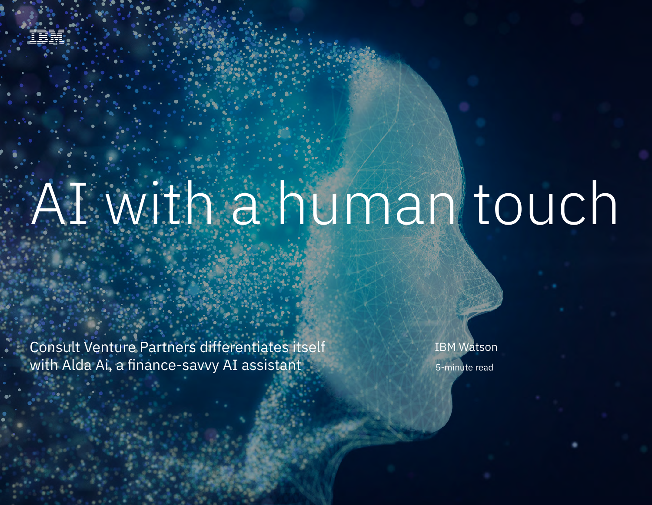

Consultation Partners differentiates itself with Alda Ai, a finance-savvy AI, a finance-savvy AI, a finance-sav

Consult Venture Partners differentiates itself with Alda Ai, a finance-savvy AI assistant

5-minute read IBM Watson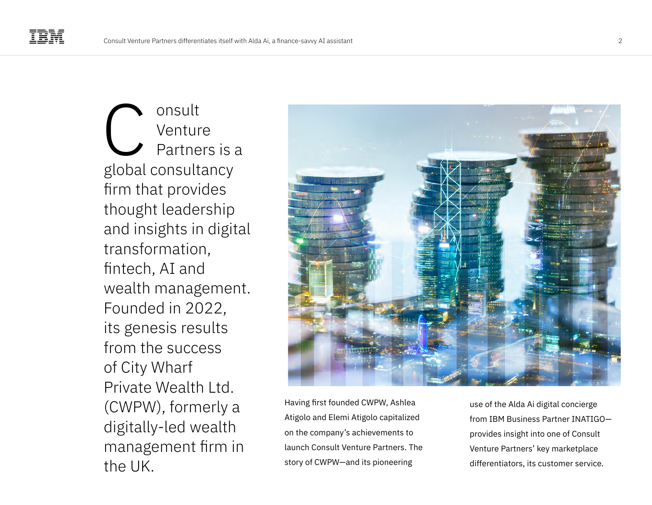onsult Venture Partners is a global consultancy firm that provides thought leadership and insights in digital transformation, fintech, AI and wealth management. Founded in 2022, its genesis results from the success of City Wharf Private Wealth Ltd. (CWPW), formerly a digitally-led wealth management firm in the UK. C



Having first founded CWPW, Ashlea Atigolo and Elemi Atigolo capitalized on the company's achievements to launch Consult Venture Partners. The story of CWPW—and its pioneering

use of the Alda Ai digital concierge from IBM Business Partner INATIGO provides insight into one of Consult Venture Partners' key marketplace differentiators, its customer service.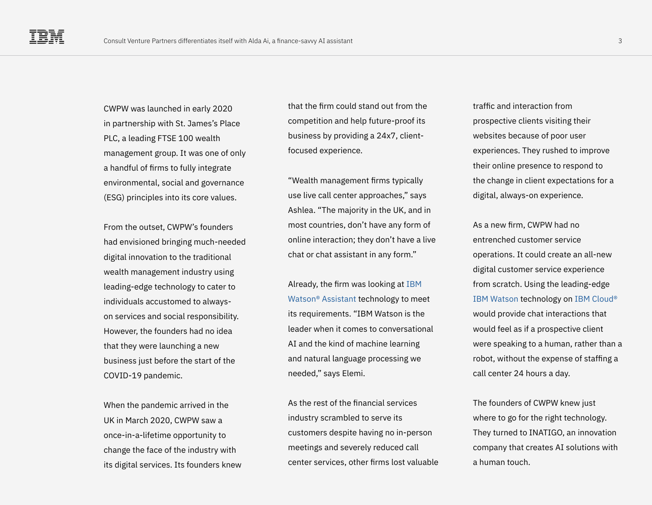CWPW was launched in early 2020 in partnership with St. James's Place PLC, a leading FTSE 100 wealth management group. It was one of only a handful of firms to fully integrate environmental, social and governance (ESG) principles into its core values.

From the outset, CWPW's founders had envisioned bringing much-needed digital innovation to the traditional wealth management industry using leading-edge technology to cater to individuals accustomed to alwayson services and social responsibility. However, the founders had no idea that they were launching a new business just before the start of the COVID-19 pandemic.

When the pandemic arrived in the UK in March 2020, CWPW saw a once-in-a-lifetime opportunity to change the face of the industry with its digital services. Its founders knew that the firm could stand out from the competition and help future-proof its business by providing a 24x7, clientfocused experience.

"Wealth management firms typically use live call center approaches," says Ashlea. "The majority in the UK, and in most countries, don't have any form of online interaction; they don't have a live chat or chat assistant in any form."

Already, the firm was looking at [IBM](https://www.ibm.com/products/watson-assistant)  [Watson® Assistant](https://www.ibm.com/products/watson-assistant) technology to meet its requirements. "IBM Watson is the leader when it comes to conversational AI and the kind of machine learning and natural language processing we needed," says Elemi.

As the rest of the financial services industry scrambled to serve its customers despite having no in-person meetings and severely reduced call center services, other firms lost valuable traffic and interaction from prospective clients visiting their websites because of poor user experiences. They rushed to improve their online presence to respond to the change in client expectations for a digital, always-on experience.

As a new firm, CWPW had no entrenched customer service operations. It could create an all-new digital customer service experience from scratch. Using the leading-edge [IBM Watson](https://www.ibm.com/watson) technology on [IBM Cloud®](https://www.ibm.com/cloud) would provide chat interactions that would feel as if a prospective client were speaking to a human, rather than a robot, without the expense of staffing a call center 24 hours a day.

The founders of CWPW knew just where to go for the right technology. They turned to INATIGO, an innovation company that creates AI solutions with a human touch.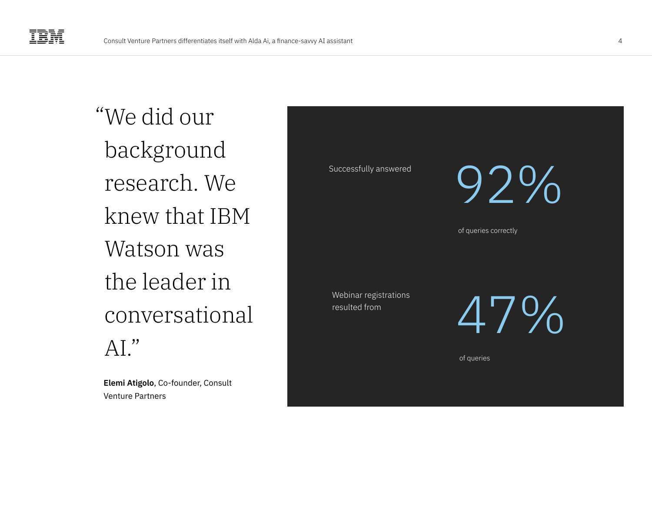We did our " background research. We knew that IBM Watson was the leader in conversational  $AI.$ "

**Elemi Atigolo**, Co-founder, Consult Venture Partners

Successfully answered

92%

of queries correctly

Webinar registrations resulted from

47%

of queries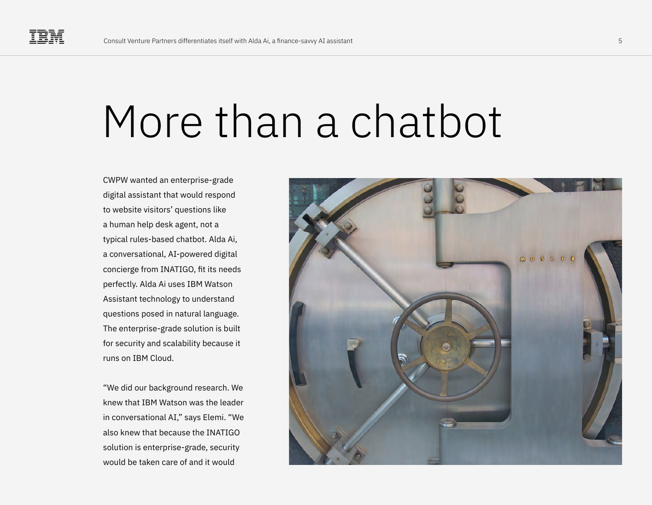## More than a chatbot

CWPW wanted an enterprise-grade digital assistant that would respond to website visitors' questions like a human help desk agent, not a typical rules-based chatbot. Alda Ai, a conversational, AI-powered digital concierge from INATIGO, fit its needs perfectly. Alda Ai uses IBM Watson Assistant technology to understand questions posed in natural language. The enterprise-grade solution is built for security and scalability because it runs on IBM Cloud.

"We did our background research. We knew that IBM Watson was the leader in conversational AI," says Elemi. "We also knew that because the INATIGO solution is enterprise-grade, security would be taken care of and it would

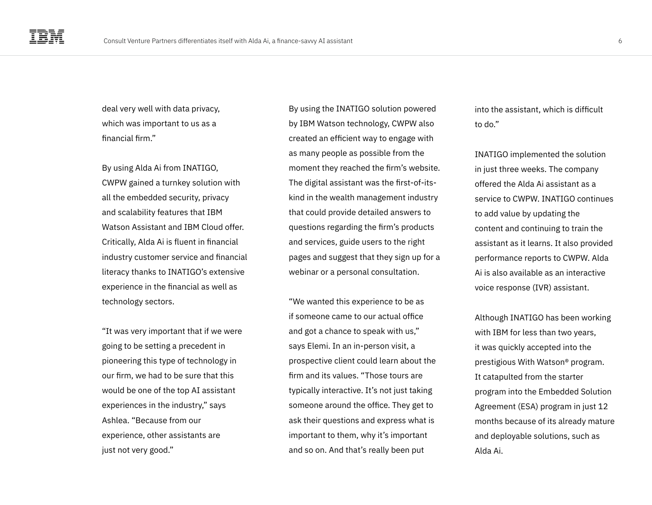deal very well with data privacy, which was important to us as a financial firm."

By using Alda Ai from INATIGO, CWPW gained a turnkey solution with all the embedded security, privacy and scalability features that IBM Watson Assistant and IBM Cloud offer. Critically, Alda Ai is fluent in financial industry customer service and financial literacy thanks to INATIGO's extensive experience in the financial as well as technology sectors.

"It was very important that if we were going to be setting a precedent in pioneering this type of technology in our firm, we had to be sure that this would be one of the top AI assistant experiences in the industry," says Ashlea. "Because from our experience, other assistants are just not very good."

By using the INATIGO solution powered by IBM Watson technology, CWPW also created an efficient way to engage with as many people as possible from the moment they reached the firm's website. The digital assistant was the first-of-itskind in the wealth management industry that could provide detailed answers to questions regarding the firm's products and services, guide users to the right pages and suggest that they sign up for a webinar or a personal consultation.

"We wanted this experience to be as if someone came to our actual office and got a chance to speak with us," says Elemi. In an in-person visit, a prospective client could learn about the firm and its values. "Those tours are typically interactive. It's not just taking someone around the office. They get to ask their questions and express what is important to them, why it's important and so on. And that's really been put

into the assistant, which is difficult to do."

INATIGO implemented the solution in just three weeks. The company offered the Alda Ai assistant as a service to CWPW. INATIGO continues to add value by updating the content and continuing to train the assistant as it learns. It also provided performance reports to CWPW. Alda Ai is also available as an interactive voice response (IVR) assistant.

Although INATIGO has been working with IBM for less than two years, it was quickly accepted into the prestigious With Watson® program. It catapulted from the starter program into the Embedded Solution Agreement (ESA) program in just 12 months because of its already mature and deployable solutions, such as Alda Ai.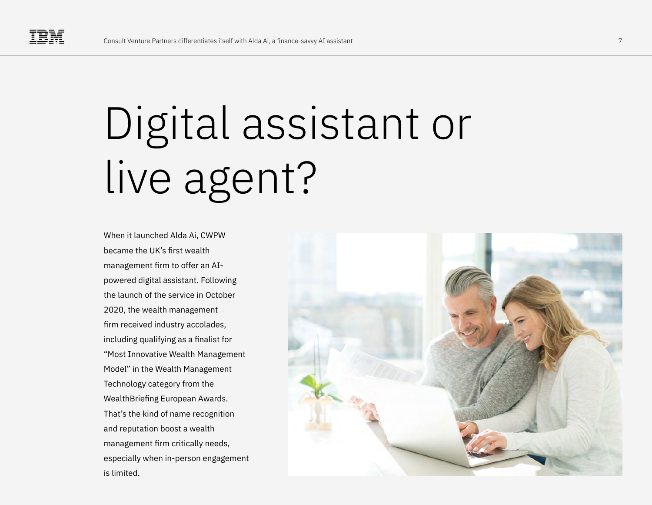# Digital assistant or live agent?

When it launched Alda Ai, CWPW became the UK's first wealth management firm to offer an AIpowered digital assistant. Following the launch of the service in October 2020, the wealth management firm received industry accolades, including qualifying as a finalist for "Most Innovative Wealth Management Model" in the Wealth Management Technology category from the WealthBriefing European Awards. That's the kind of name recognition and reputation boost a wealth management firm critically needs, especially when in-person engagement is limited.

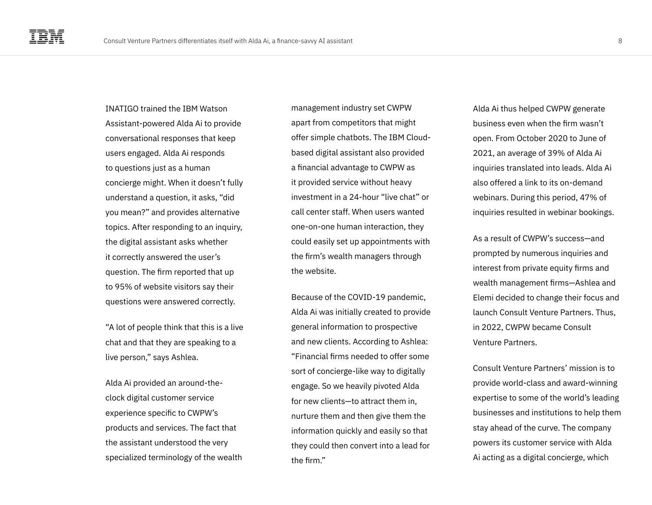INATIGO trained the IBM Watson Assistant-powered Alda Ai to provide conversational responses that keep users engaged. Alda Ai responds to questions just as a human concierge might. When it doesn't fully understand a question, it asks, "did you mean?" and provides alternative topics. After responding to an inquiry, the digital assistant asks whether it correctly answered the user's question. The firm reported that up to 95% of website visitors say their questions were answered correctly.

"A lot of people think that this is a live chat and that they are speaking to a live person," says Ashlea.

Alda Ai provided an around-theclock digital customer service experience specific to CWPW's products and services. The fact that the assistant understood the very specialized terminology of the wealth

management industry set CWPW apart from competitors that might offer simple chatbots. The IBM Cloudbased digital assistant also provided a financial advantage to CWPW as it provided service without heavy investment in a 24-hour "live chat" or call center staff. When users wanted one-on-one human interaction, they could easily set up appointments with the firm's wealth managers through the website.

Because of the COVID-19 pandemic, Alda Ai was initially created to provide general information to prospective and new clients. According to Ashlea: "Financial firms needed to offer some sort of concierge-like way to digitally engage. So we heavily pivoted Alda for new clients—to attract them in, nurture them and then give them the information quickly and easily so that they could then convert into a lead for the firm."

Alda Ai thus helped CWPW generate business even when the firm wasn't open. From October 2020 to June of 2021, an average of 39% of Alda Ai inquiries translated into leads. Alda Ai also offered a link to its on-demand webinars. During this period, 47% of inquiries resulted in webinar bookings.

As a result of CWPW's success—and prompted by numerous inquiries and interest from private equity firms and wealth management firms—Ashlea and Elemi decided to change their focus and launch Consult Venture Partners. Thus, in 2022, CWPW became Consult Venture Partners.

Consult Venture Partners' mission is to provide world-class and award-winning expertise to some of the world's leading businesses and institutions to help them stay ahead of the curve. The company powers its customer service with Alda Ai acting as a digital concierge, which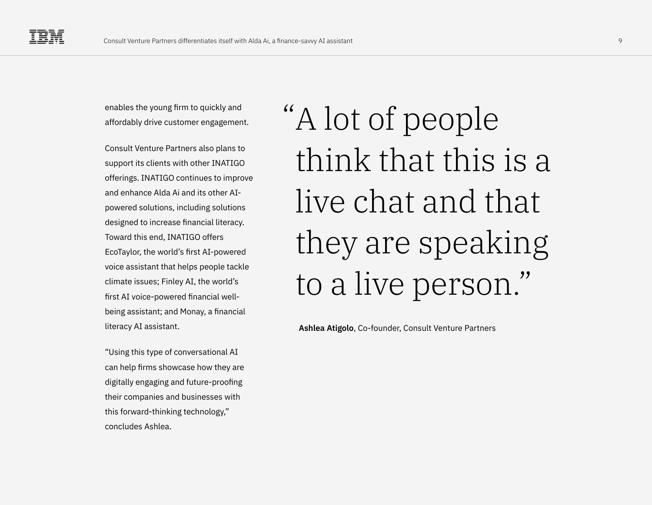enables the young firm to quickly and affordably drive customer engagement.

Consult Venture Partners also plans to support its clients with other INATIGO offerings. INATIGO continues to improve and enhance Alda Ai and its other AIpowered solutions, including solutions designed to increase financial literacy. Toward this end, INATIGO offers EcoTaylor, the world's first AI-powered voice assistant that helps people tackle climate issues; Finley AI, the world's first AI voice-powered financial wellbeing assistant; and Monay, a financial literacy AI assistant.

"Using this type of conversational AI can help firms showcase how they are digitally engaging and future-proofing their companies and businesses with this forward-thinking technology," concludes Ashlea.

A lot of people " think that this is a live chat and that they are speaking to a live person."

**Ashlea Atigolo**, Co-founder, Consult Venture Partners